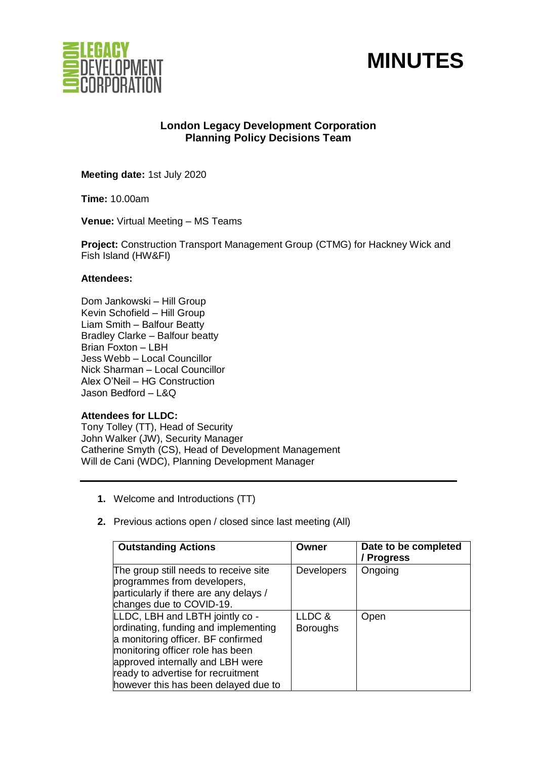



# **London Legacy Development Corporation Planning Policy Decisions Team**

**Meeting date:** 1st July 2020

**Time:** 10.00am

**Venue:** Virtual Meeting – MS Teams

**Project:** Construction Transport Management Group (CTMG) for Hackney Wick and Fish Island (HW&FI)

# **Attendees:**

Dom Jankowski – Hill Group Kevin Schofield – Hill Group Liam Smith – Balfour Beatty Bradley Clarke – Balfour beatty Brian Foxton – LBH Jess Webb – Local Councillor Nick Sharman – Local Councillor Alex O'Neil – HG Construction Jason Bedford – L&Q

# **Attendees for LLDC:**

Tony Tolley (TT), Head of Security John Walker (JW), Security Manager Catherine Smyth (CS), Head of Development Management Will de Cani (WDC), Planning Development Manager

- **1.** Welcome and Introductions (TT)
- **2.** Previous actions open / closed since last meeting (All)

| <b>Outstanding Actions</b>                                                                                                                                                                                                                                          | Owner                     | Date to be completed<br>/ Progress |
|---------------------------------------------------------------------------------------------------------------------------------------------------------------------------------------------------------------------------------------------------------------------|---------------------------|------------------------------------|
| The group still needs to receive site<br>programmes from developers,<br>particularly if there are any delays /<br>changes due to COVID-19.                                                                                                                          | <b>Developers</b>         | Ongoing                            |
| LLDC, LBH and LBTH jointly co -<br>ordinating, funding and implementing<br>a monitoring officer. BF confirmed<br>monitoring officer role has been<br>approved internally and LBH were<br>ready to advertise for recruitment<br>however this has been delayed due to | LLDC &<br><b>Boroughs</b> | Open                               |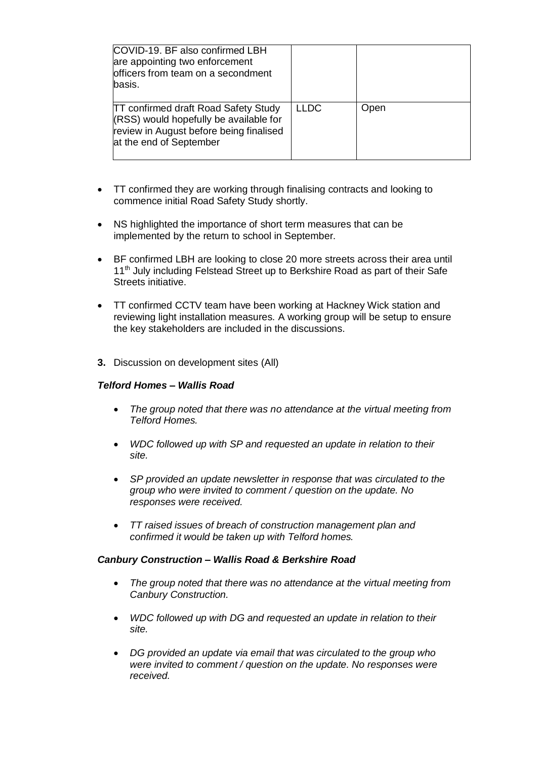| COVID-19. BF also confirmed LBH<br>are appointing two enforcement<br>officers from team on a secondment<br>basis.                                           |             |      |
|-------------------------------------------------------------------------------------------------------------------------------------------------------------|-------------|------|
| <b>TT confirmed draft Road Safety Study</b><br>(RSS) would hopefully be available for<br>review in August before being finalised<br>at the end of September | <b>LLDC</b> | Open |

- TT confirmed they are working through finalising contracts and looking to commence initial Road Safety Study shortly.
- NS highlighted the importance of short term measures that can be implemented by the return to school in September.
- BF confirmed LBH are looking to close 20 more streets across their area until 11<sup>th</sup> July including Felstead Street up to Berkshire Road as part of their Safe Streets initiative.
- TT confirmed CCTV team have been working at Hackney Wick station and reviewing light installation measures. A working group will be setup to ensure the key stakeholders are included in the discussions.
- **3.** Discussion on development sites (All)

### *Telford Homes – Wallis Road*

- *The group noted that there was no attendance at the virtual meeting from Telford Homes.*
- *WDC followed up with SP and requested an update in relation to their site.*
- *SP provided an update newsletter in response that was circulated to the group who were invited to comment / question on the update. No responses were received.*
- *TT raised issues of breach of construction management plan and confirmed it would be taken up with Telford homes.*

#### *Canbury Construction – Wallis Road & Berkshire Road*

- *The group noted that there was no attendance at the virtual meeting from Canbury Construction.*
- *WDC followed up with DG and requested an update in relation to their site.*
- *DG provided an update via email that was circulated to the group who were invited to comment / question on the update. No responses were received.*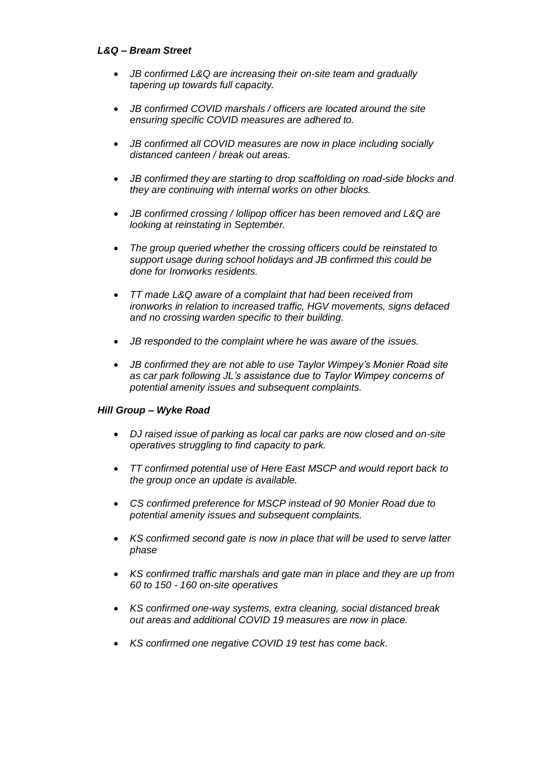# *L&Q – Bream Street*

- *JB confirmed L&Q are increasing their on-site team and gradually tapering up towards full capacity.*
- *JB confirmed COVID marshals / officers are located around the site ensuring specific COVID measures are adhered to.*
- *JB confirmed all COVID measures are now in place including socially distanced canteen / break out areas.*
- *JB confirmed they are starting to drop scaffolding on road-side blocks and they are continuing with internal works on other blocks.*
- *JB confirmed crossing / lollipop officer has been removed and L&Q are looking at reinstating in September.*
- *The group queried whether the crossing officers could be reinstated to support usage during school holidays and JB confirmed this could be done for Ironworks residents.*
- *TT made L&Q aware of a complaint that had been received from ironworks in relation to increased traffic, HGV movements, signs defaced and no crossing warden specific to their building.*
- *JB responded to the complaint where he was aware of the issues.*
- *JB confirmed they are not able to use Taylor Wimpey's Monier Road site as car park following JL's assistance due to Taylor Wimpey concerns of potential amenity issues and subsequent complaints.*

# *Hill Group – Wyke Road*

- *DJ raised issue of parking as local car parks are now closed and on-site operatives struggling to find capacity to park.*
- *TT confirmed potential use of Here East MSCP and would report back to the group once an update is available.*
- *CS confirmed preference for MSCP instead of 90 Monier Road due to potential amenity issues and subsequent complaints.*
- *KS confirmed second gate is now in place that will be used to serve latter phase*
- *KS confirmed traffic marshals and gate man in place and they are up from 60 to 150 - 160 on-site operatives*
- *KS confirmed one-way systems, extra cleaning, social distanced break out areas and additional COVID 19 measures are now in place.*
- *KS confirmed one negative COVID 19 test has come back.*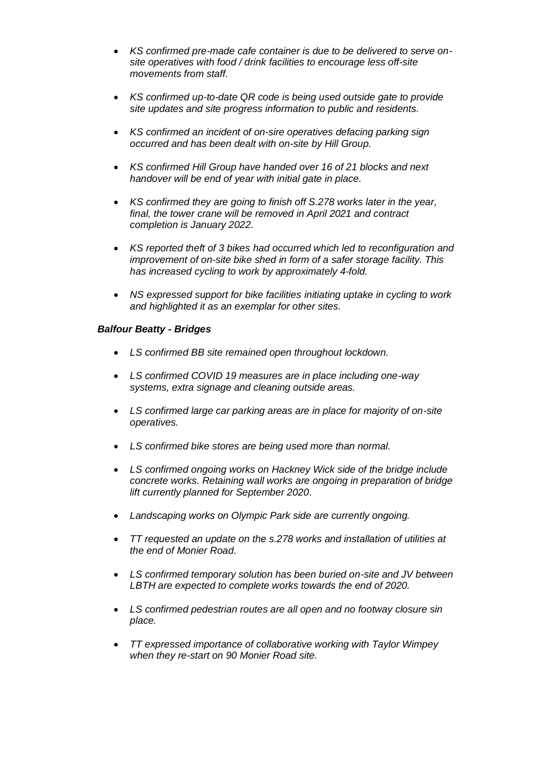- *KS confirmed pre-made cafe container is due to be delivered to serve onsite operatives with food / drink facilities to encourage less off-site movements from staff.*
- *KS confirmed up-to-date QR code is being used outside gate to provide site updates and site progress information to public and residents.*
- *KS confirmed an incident of on-sire operatives defacing parking sign occurred and has been dealt with on-site by Hill Group.*
- *KS confirmed Hill Group have handed over 16 of 21 blocks and next handover will be end of year with initial gate in place.*
- *KS confirmed they are going to finish off S.278 works later in the year, final, the tower crane will be removed in April 2021 and contract completion is January 2022.*
- *KS reported theft of 3 bikes had occurred which led to reconfiguration and improvement of on-site bike shed in form of a safer storage facility. This has increased cycling to work by approximately 4-fold.*
- *NS expressed support for bike facilities initiating uptake in cycling to work and highlighted it as an exemplar for other sites.*

# *Balfour Beatty - Bridges*

- *LS confirmed BB site remained open throughout lockdown.*
- *LS confirmed COVID 19 measures are in place including one-way systems, extra signage and cleaning outside areas.*
- *LS confirmed large car parking areas are in place for majority of on-site operatives.*
- *LS confirmed bike stores are being used more than normal.*
- *LS confirmed ongoing works on Hackney Wick side of the bridge include concrete works. Retaining wall works are ongoing in preparation of bridge lift currently planned for September 2020.*
- *Landscaping works on Olympic Park side are currently ongoing.*
- *TT requested an update on the s.278 works and installation of utilities at the end of Monier Road.*
- *LS confirmed temporary solution has been buried on-site and JV between LBTH are expected to complete works towards the end of 2020.*
- *LS confirmed pedestrian routes are all open and no footway closure sin place.*
- *TT expressed importance of collaborative working with Taylor Wimpey when they re-start on 90 Monier Road site.*